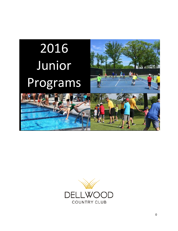

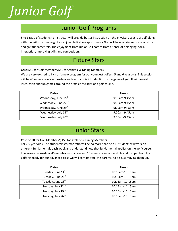## *Junior Golf Junior Golf*

### Junior Golf Programs

5 to 1 ratio of students to instructor will provide better instruction on the physical aspects of golf along with the skills that make golf an enjoyable lifetime sport. Junior Golf will have a primary focus on skills and golf fundamentals. The enjoyment from Junior Golf comes from a sense of belonging, social interaction, improving skills and competition.

#### Future Stars

**Cost:** \$50 for Golf Members/\$80 for Athletic & Dining Members

We are very excited to kick off a new program for our youngest golfers, 5 and 6 year olds. This session will be 45 minutes on Wednesdays and our focus is introduction to the game of golf. It will consist of instruction and fun games around the practice facilities and golf course.

| <b>Dates</b>                     | <b>Times</b>  |
|----------------------------------|---------------|
| Wednesday, June 15 <sup>th</sup> | 9:00am-9:45am |
| Wednesday, June 22 <sup>nd</sup> | 9:00am-9:45am |
| Wednesday, June 29 <sup>th</sup> | 9:00am-9:45am |
| Wednesday, July 13 <sup>th</sup> | 9:00am-9:45am |
| Wednesday, July 20 <sup>th</sup> | 9:00am-9:45am |

#### Junior Stars

**Cost:** \$120 for Golf Members/\$150 for Athletic & Dining Members

For 7-9 year olds. The student/Instructor ratio will be no more than 5 to 1. Students will work on different fundamentals each week and understand how that fundamental applies on the golf course. This session consists of 45 minutes instruction and 15 minutes on-course skills and competition. If a golfer is ready for our advanced class we will contact you (the parents) to discuss moving them up.

| <b>Dates</b>                   | <b>Times</b>       |
|--------------------------------|--------------------|
| Tuesday, June 14 <sup>th</sup> | 10:15am-11:15am    |
| Tuesday, June 21st             | 10:15am-11:15am    |
| Tuesday, June 28 <sup>th</sup> | $10:15$ am-11:15am |
| Tuesday, July 12 <sup>th</sup> | $10:15$ am-11:15am |
| Tuesday, July 19 <sup>th</sup> | 10:15am-11:15am    |
| Tuesday, July 26 <sup>th</sup> | 10:15am-11:15am    |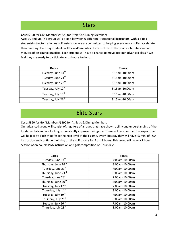#### **Stars**

**Cost:** \$190 for Golf Members/\$220 for Athletic & Dining Members

Ages 10 and up. This group will be split between 6 different Professional Instructors, with a 5 to 1 student/instructor ratio. As golf instructors we are committed to helping every junior golfer accelerate their learning. Each day students will have 45 minutes of instruction on the practice facilities and 45 minutes of on-course practice. Each student will have a chance to move into our advanced class if we feel they are ready to participate and choose to do so.

| <b>Dates</b>                   | <b>Times</b>   |
|--------------------------------|----------------|
| Tuesday, June 14 <sup>th</sup> | 8:15am-10:00am |
| Tuesday, June 21st             | 8:15am-10:00am |
| Tuesday, June 28 <sup>th</sup> | 8:15am-10:00am |
| Tuesday, July 12 <sup>th</sup> | 8:15am-10:00am |
| Tuesday, July 19 <sup>th</sup> | 8:15am-10:00am |
| Tuesday, July 26 <sup>th</sup> | 8:15am-10:00am |

#### Elite Stars

**Cost:** \$360 for Golf Members/\$390 for Athletic & Dining Members

Our advanced group will consist of Jr golfers of all ages that have shown ability and understanding of the fundamentals and are looking to constantly improve their game. There will be a competitive aspect that will help drive each Jr golfer to the next level of their game. Every Tuesday they will have 45 min. of PGA instruction and continue their day on the golf course for 9 or 18 holes. This group will have a 2 hour session of on-course PGA instruction and golf competition on Thursdays.

| <b>Dates</b>                    | <b>Times</b>   |
|---------------------------------|----------------|
| Tuesday, June 14 <sup>th</sup>  | 7:00am-10:00am |
| Thursday, June 16 <sup>th</sup> | 8:00am-10:00am |
| Tuesday, June 21st              | 7:00am-10:00am |
| Thursday, June 23rd             | 8:00am-10:00am |
| Tuesday, June 28 <sup>th</sup>  | 7:00am-10:00am |
| Thursday, June 30rd             | 8:00am-10:00am |
| Tuesday, July 12th              | 7:00am-10:00am |
| Thursday, July 14 <sup>th</sup> | 8:00am-10:00am |
| Tuesday, July 19 <sup>th</sup>  | 7:00am-10:00am |
| Thursday, July 21st             | 8:00am-10:00am |
| Tuesday, July 26 <sup>th</sup>  | 7:00am-10:00am |
| Thursday, July 28 <sup>th</sup> | 8:00am-10:00am |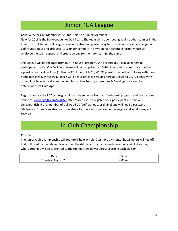#### Junior PGA League

#### **Cost:** \$225 for Golf Members/\$225 for Athletic & Dining Members

New for 2016 is the Dellwood Junior Golf Team. The team will be competing against other courses in the area. The PGA Junior Golf League is an innovative and proven way to provide more competitive junior golf rounds. Boys and girls ages 13 & under compete in a two-person scramble format which will reinforce the team concept and create an environment for learning the game.

This League will be separate from our "in-house" program. We encourage Jr. league golfers to participate in both. Our Dellwood team will be comprised of 10-14 players with at least five matches against other local facilities (Stillwater CC, Indian Hills CC, WBYC, possibly two others). Along with three home matches & three away, there will be four practice sessions here at Dellwood CC. Matches with other clubs have typically been scheduled on late Sunday afternoons & Evenings but won't be determined until late April.

Registration for the PGA Jr. League will also be separate from our "in-house" program and can be done online at[: www.pgajlg.com/register](http://www.pgajlg.com/register) after March 1st. To register, your participant must be a child/grandchild of a member of Dellwood CC (golf, athletic, or dining) and will need a password "dellwoodcc". You can also use this website for more information on the league and what to expect from us.

#### Jr. Club Championship

#### **Cost:** \$20

The Junior Club Championship will feature 4-hole, 9-hole & 18-hole divisions. The 18-holers will tee off first, followed by the 9-hole players, then the 4-holers. Lunch an awards ceremony will follow play where trophies will be presented to the top finishers (lowest gross score) in each division.

| Date                         | $- \cdot$<br>「ime<br>$\sim$ |
|------------------------------|-----------------------------|
| $\lnot$ nd<br>uesday.<br>. . | ~ ~<br>"UUan.               |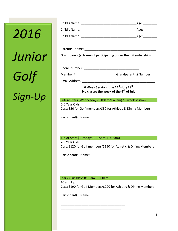## *2016 Junior Golf Sign-Up*

|                                                                                                                   | _Age:___________                                                 |  |
|-------------------------------------------------------------------------------------------------------------------|------------------------------------------------------------------|--|
|                                                                                                                   | _Age:__________                                                  |  |
|                                                                                                                   | Age:                                                             |  |
|                                                                                                                   |                                                                  |  |
|                                                                                                                   |                                                                  |  |
|                                                                                                                   | Grandparent(s) Name (if participating under their Membership):   |  |
|                                                                                                                   |                                                                  |  |
|                                                                                                                   |                                                                  |  |
| Email Address: <u>_______________</u>                                                                             |                                                                  |  |
| 6 Week Session June 14 <sup>th</sup> -July 29 <sup>th</sup><br>No classes the week of the 4 <sup>th</sup> of July |                                                                  |  |
|                                                                                                                   |                                                                  |  |
|                                                                                                                   | Future Stars (Wednesdays 9:00am-9:45am) *5 week session          |  |
| 5-6 Year Olds                                                                                                     | Cost: \$50 for Golf members/\$80 for Athletic & Dining Members   |  |
| Participant(s) Name:                                                                                              |                                                                  |  |
|                                                                                                                   |                                                                  |  |
| Junior Stars (Tuesdays 10:15am-11:15am)                                                                           |                                                                  |  |
| 7-9 Year Olds                                                                                                     | Cost: \$120 for Golf members/\$150 for Athletic & Dining Members |  |
| Participant(s) Name:                                                                                              |                                                                  |  |
|                                                                                                                   |                                                                  |  |
|                                                                                                                   |                                                                  |  |

10 and Up Cost: \$190 for Golf Members/\$220 for Athletic & Dining Members

\_\_\_\_\_\_\_\_\_\_\_\_\_\_\_\_\_\_\_\_\_\_\_\_\_\_\_\_\_\_\_\_\_\_\_\_\_ \_\_\_\_\_\_\_\_\_\_\_\_\_\_\_\_\_\_\_\_\_\_\_\_\_\_\_\_\_\_\_\_\_\_\_\_\_ \_\_\_\_\_\_\_\_\_\_\_\_\_\_\_\_\_\_\_\_\_\_\_\_\_\_\_\_\_\_\_\_\_\_\_\_\_\_

Participant(s) Name: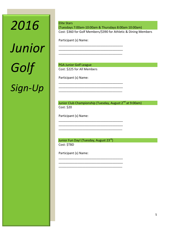# *2016 Junior Golf Sign-Up*

Elite Stars (Tuesdays 7:00am-10:00am & Thursdays 8:00am 10:00am) Cost: \$360 for Golf Members/\$390 for Athletic & Dining Members

\_\_\_\_\_\_\_\_\_\_\_\_\_\_\_\_\_\_\_\_\_\_\_\_\_\_\_\_\_\_\_\_\_\_\_\_\_ \_\_\_\_\_\_\_\_\_\_\_\_\_\_\_\_\_\_\_\_\_\_\_\_\_\_\_\_\_\_\_\_\_\_\_\_\_ \_\_\_\_\_\_\_\_\_\_\_\_\_\_\_\_\_\_\_\_\_\_\_\_\_\_\_\_\_\_\_\_\_\_\_\_\_\_\_\_

\_\_\_\_\_\_\_\_\_\_\_\_\_\_\_\_\_\_\_\_\_\_\_\_\_\_\_\_\_\_\_\_\_\_\_\_\_ \_\_\_\_\_\_\_\_\_\_\_\_\_\_\_\_\_\_\_\_\_\_\_\_\_\_\_\_\_\_\_\_\_\_\_\_\_ \_\_\_\_\_\_\_\_\_\_\_\_\_\_\_\_\_\_\_\_\_\_\_\_\_\_\_\_\_\_\_\_\_\_\_\_\_\_\_\_

\_\_\_\_\_\_\_\_\_\_\_\_\_\_\_\_\_\_\_\_\_\_\_\_\_\_\_\_\_\_\_\_\_\_\_\_\_ \_\_\_\_\_\_\_\_\_\_\_\_\_\_\_\_\_\_\_\_\_\_\_\_\_\_\_\_\_\_\_\_\_\_\_\_\_ \_\_\_\_\_\_\_\_\_\_\_\_\_\_\_\_\_\_\_\_\_\_\_\_\_\_\_\_\_\_\_\_\_\_\_\_\_\_\_\_

\_\_\_\_\_\_\_\_\_\_\_\_\_\_\_\_\_\_\_\_\_\_\_\_\_\_\_\_\_\_\_\_\_\_\_\_\_ \_\_\_\_\_\_\_\_\_\_\_\_\_\_\_\_\_\_\_\_\_\_\_\_\_\_\_\_\_\_\_\_\_\_\_\_\_ \_\_\_\_\_\_\_\_\_\_\_\_\_\_\_\_\_\_\_\_\_\_\_\_\_\_\_\_\_\_\_\_\_\_\_\_\_\_\_\_

Participant (s) Name:

PGA Junior Golf League Cost: \$225 for All Members

Participant (s) Name:

Junior Club Championship (Tuesday, August 2<sup>nd</sup> at 9:00am) Cost: \$20

Participant (s) Name:

Junior Fun Day! (Tuesday, August 23rd) Cost: \$TBD

Participant (s) Name: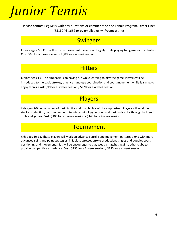### *Junior Tennis*

Please contact Peg Kelly with any questions or comments on the Tennis Program. Direct Line: (651) 246-1662 or by email: pkelly4@comcast.net

#### **Swingers**

Juniors ages 2-3. Kids will work on movement, balance and agility while playing fun games and activities. **Cost:** \$60 for a 3 week session / \$80 for a 4 week session

#### **Hitters**

Juniors ages 4-6. The emphasis is on having fun while learning to play the game. Players will be introduced to the basic strokes, practice hand-eye coordination and court movement while learning to enjoy tennis. **Cost:** \$90 for a 3 week session / \$120 for a 4 week session

### Players

Kids ages 7-9. Introduction of basic tactics and match play will be emphasized. Players will work on stroke production, court movement, tennis terminology, scoring and basic rally skills through ball feed drills and games. **Cost:** \$105 for a 3 week session / \$140 for a 4 week session

#### **Tournament**

Kids ages 10-13. These players will work on advanced stroke and movement patterns along with more advanced spins and point strategies. This class stresses stroke production, singles and doubles court positioning and movement. Kids will be encourages to play weekly matches against other clubs to provide competitive experience. **Cost:** \$135 for a 3 week session / \$180 for a 4 week session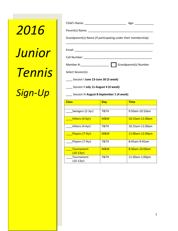# *2016 Junior Tennis Sign-Up*

|                                                                | Age: ______________   |
|----------------------------------------------------------------|-----------------------|
|                                                                |                       |
| Grandparent(s) Name (if participating under their membership): |                       |
|                                                                |                       |
|                                                                |                       |
|                                                                | Grandparent(s) Number |
| Select Session(s):                                             |                       |
| Session   June 13-June 30 (3 week)                             |                       |

\_\_\_\_ Session II **July 11-August 4 (4 week)**

\_\_\_\_ Session III **August 8-September 1 (4 week)**

| <b>Class</b>                          | <b>Day</b> | <b>Time</b>     |
|---------------------------------------|------------|-----------------|
|                                       |            |                 |
| Swingers (2-3yr)                      | T&TH       | 9:50am-10:10am  |
| Hitters (4-6yr)                       | M&W        | 10:15am-11:00am |
| Hitters (4-6yr)                       | T&TH       | 10:15am-11:00am |
| Players (7-9yr)                       | M&W        | 11:00am-12:00pm |
| Players (7-9yr)                       | T&TH       | 8:45am-9:45am   |
| <b>Tournament</b><br><u>(10-13yr)</u> | M&W        | 8:30am-10:00am  |
| Tournament<br>(10-13yr)               | T&TH       | 11:30am-1:00pm  |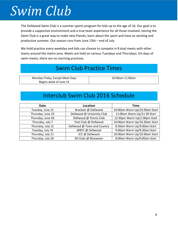### *Swim Club*

The Dellwood Swim Club is a summer sports program for kids up to the age of 16. Our goal is to provide a supportive environment and a true team experience for all those involved. Joining the Swim Club is a great way to make new friends, learn about the sport and have an exciting and productive summer. Our season runs from June 13th – end of July.

We hold practice every weekday and kids can choose to compete in 8 dual meets with other teams around the metro area. Meets are held on various Tuesdays and Thursdays. On days of swim meets, there are no morning practices.

### Swim Club Practice Times

| Monday-Friday, Except Meet Days | 10:00am-11:00am |
|---------------------------------|-----------------|
| Begins week of June 13          |                 |

### Interclub Swim Club 2016 Schedule

| Date              | Location                    | <b>Time</b>                   |
|-------------------|-----------------------------|-------------------------------|
| Tuesday, June 21  | Brackets @ Dellwood         | 10:00am Warm Up/10:30am Start |
| Thursday, June 23 | Dellwood @ University Club  | 11:00am Warm Up/11:30 Start   |
| Thursday, June 30 | Dellwood @ Tennis Club      | 12:30pm Warm Up/1:00pm Start  |
| Thursday, July 7  | Pool Club @ Dellwood        | 10:00am Warm Up/10:30am Start |
| Thursday, July 12 | Dellwood @ Town and Country | 8:30am Warm Up/9:00am Start   |
| Tuesday, July 19  | WBYC @ Dellwood             | 9:00am Warm Up/9:30am Start   |
| Thursday, July 21 | JCC @ Dellwood              | 10:00am Warm Up/10:30am Start |
| Thursday, July 28 | All Clubs @ Bluewater       | 8:00am Warm Up/9:00am Start   |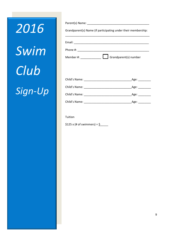# *2016 Swim Club Sign-Up*

| Grandparent(s) Name (if participating under their membership: |  |
|---------------------------------------------------------------|--|
|                                                               |  |
| Email:                                                        |  |
|                                                               |  |
| Grandparent(s) number<br>Member #:                            |  |

| Child's Name: | Age: |
|---------------|------|
| Child's Name: | Age: |
| Child's Name: | Age: |
| Child's Name: | Age: |

Tuition

\$125 x (# of swimmers) =  $\frac{6}{5}$